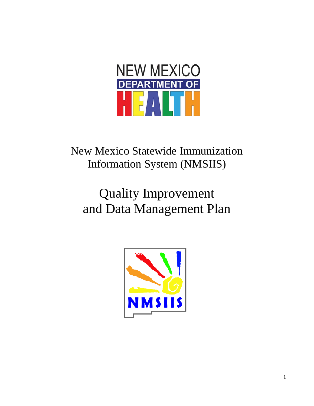

New Mexico Statewide Immunization Information System (NMSIIS)

# Quality Improvement and Data Management Plan

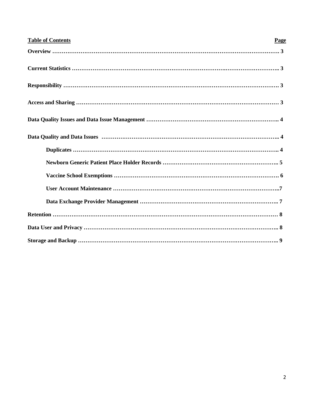| <b>Table of Contents</b> | Page |
|--------------------------|------|
|                          |      |
|                          |      |
|                          |      |
|                          |      |
|                          |      |
|                          |      |
|                          |      |
|                          |      |
|                          |      |
|                          |      |
|                          |      |
|                          |      |
|                          |      |
|                          |      |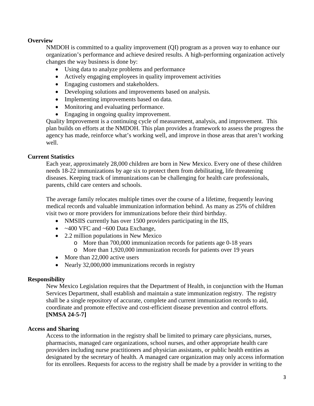## **Overview**

NMDOH is committed to a quality improvement (QI) program as a proven way to enhance our organization's performance and achieve desired results. A high-performing organization actively changes the way business is done by:

- Using data to analyze problems and performance
- Actively engaging employees in quality improvement activities
- Engaging customers and stakeholders.
- Developing solutions and improvements based on analysis.
- Implementing improvements based on data.
- Monitoring and evaluating performance.
- Engaging in ongoing quality improvement.

Quality Improvement is a continuing cycle of measurement, analysis, and improvement. This plan builds on efforts at the NMDOH. This plan provides a framework to assess the progress the agency has made, reinforce what's working well, and improve in those areas that aren't working well.

## **Current Statistics**

Each year, approximately 28,000 children are born in New Mexico. Every one of these children needs 18-22 immunizations by age six to protect them from debilitating, life threatening diseases. Keeping track of immunizations can be challenging for health care professionals, parents, child care centers and schools.

The average family relocates multiple times over the course of a lifetime, frequently leaving medical records and valuable immunization information behind. As many as 25% of children visit two or more providers for immunizations before their third birthday.

- NMSIIS currently has over 1500 providers participating in the IIS,
- $\bullet$  ~400 VFC and ~600 Data Exchange,
- 2.2 million populations in New Mexico
	- o More than 700,000 immunization records for patients age 0-18 years
	- o More than 1,920,000 immunization records for patients over 19 years
- More than 22,000 active users
- Nearly 32,000,000 immunizations records in registry

### **Responsibility**

New Mexico Legislation requires that the Department of Health, in conjunction with the Human Services Department, shall establish and maintain a state immunization registry. The registry shall be a single repository of accurate, complete and current immunization records to aid, coordinate and promote effective and cost-efficient disease prevention and control efforts. **[NMSA 24-5-7]**

### **Access and Sharing**

Access to the information in the registry shall be limited to primary care physicians, nurses, pharmacists, managed care organizations, school nurses, and other appropriate health care providers including nurse practitioners and physician assistants, or public health entities as designated by the secretary of health. A managed care organization may only access information for its enrollees. Requests for access to the registry shall be made by a provider in writing to the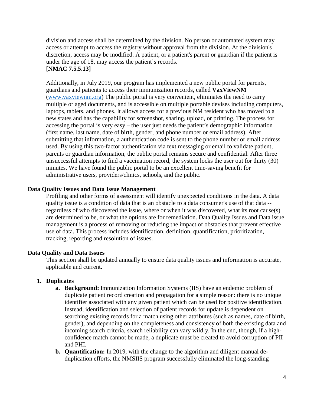division and access shall be determined by the division. No person or automated system may access or attempt to access the registry without approval from the division. At the division's discretion, access may be modified. A patient, or a patient's parent or guardian if the patient is under the age of 18, may access the patient's records. **[NMAC 7.5.5.13]**

Additionally, in July 2019, our program has implemented a new public portal for parents, guardians and patients to access their immunization records, called **VaxViewNM**  [\(www.vaxviewnm.org\)](http://www.vaxviewnm.org/) The public portal is very convenient, eliminates the need to carry multiple or aged documents, and is accessible on multiple portable devises including computers, laptops, tablets, and phones. It allows access for a previous NM resident who has moved to a new states and has the capability for screenshot, sharing, upload, or printing. The process for accessing the portal is very easy – the user just needs the patient's demographic information (first name, last name, date of birth, gender, and phone number or email address). After submitting that information, a authentication code is sent to the phone number or email address used. By using this two-factor authentication via text messaging or email to validate patient, parents or guardian information, the public portal remains secure and confidential. After three unsuccessful attempts to find a vaccination record, the system locks the user out for thirty (30) minutes. We have found the public portal to be an excellent time-saving benefit for administrative users, providers/clinics, schools, and the public.

### **Data Quality Issues and Data Issue Management**

Profiling and other forms of assessment will identify unexpected conditions in the data. A data quality issue is a condition of data that is an obstacle to a data consumer's use of that data - regardless of who discovered the issue, where or when it was discovered, what its root cause(s) are determined to be, or what the options are for remediation. Data Quality Issues and Data issue management is a process of removing or reducing the impact of obstacles that prevent effective use of data. This process includes identification, definition, quantification, prioritization, tracking, reporting and resolution of issues.

### **Data Quality and Data Issues**

This section shall be updated annually to ensure data quality issues and information is accurate, applicable and current.

### **1. Duplicates**

- **a. Background:** Immunization Information Systems (IIS) have an endemic problem of duplicate patient record creation and propagation for a simple reason: there is no unique identifier associated with any given patient which can be used for positive identification. Instead, identification and selection of patient records for update is dependent on searching existing records for a match using other attributes (such as names, date of birth, gender), and depending on the completeness and consistency of both the existing data and incoming search criteria, search reliability can vary wildly. In the end, though, if a highconfidence match cannot be made, a duplicate must be created to avoid corruption of PII and PHI.
- **b. Quantification:** In 2019, with the change to the algorithm and diligent manual deduplication efforts, the NMSIIS program successfully eliminated the long-standing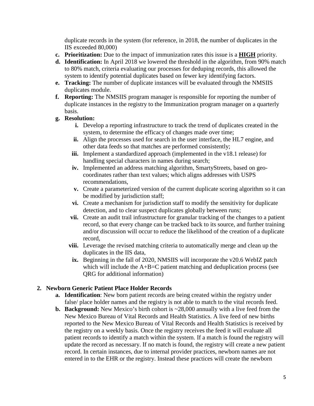duplicate records in the system (for reference, in 2018, the number of duplicates in the IIS exceeded 80,000)

- **c. Prioritization:** Due to the impact of immunization rates this issue is a **HIGH** priority.
- **d. Identification:** In April 2018 we lowered the threshold in the algorithm, from 90% match to 80% match, criteria evaluating our processes for deduping records, this allowed the system to identify potential duplicates based on fewer key identifying factors.
- **e. Tracking:** The number of duplicate instances will be evaluated through the NMSIIS duplicates module.
- **f. Reporting:** The NMSIIS program manager is responsible for reporting the number of duplicate instances in the registry to the Immunization program manager on a quarterly basis.
- **g. Resolution:**
	- **i.** Develop a reporting infrastructure to track the trend of duplicates created in the system, to determine the efficacy of changes made over time;
	- **ii.** Align the processes used for search in the user interface, the HL7 engine, and other data feeds so that matches are performed consistently;
	- **iii.** Implement a standardized approach (implemented in the v18.1 release) for handling special characters in names during search;
	- **iv.** Implemented an address matching algorithm, SmartyStreets, based on geocoordinates rather than text values; which aligns addresses with USPS recommendations,
	- **v.** Create a parameterized version of the current duplicate scoring algorithm so it can be modified by jurisdiction staff;
	- **vi.** Create a mechanism for jurisdiction staff to modify the sensitivity for duplicate detection, and to clear suspect duplicates globally between runs;
	- **vii.** Create an audit trail infrastructure for granular tracking of the changes to a patient record, so that every change can be tracked back to its source, and further training and/or discussion will occur to reduce the likelihood of the creation of a duplicate record,
	- **viii.** Leverage the revised matching criteria to automatically merge and clean up the duplicates in the IIS data,
	- **ix.** Beginning in the fall of 2020, NMSIIS will incorporate the v20.6 WebIZ patch which will include the A+B=C patient matching and deduplication process (see QRG for additional information)

## **2. Newborn Generic Patient Place Holder Records**

- **a. Identification**: New born patient records are being created within the registry under false/ place holder names and the registry is not able to match to the vital records feed.
- **b. Background:** New Mexico's birth cohort is ~28,000 annually with a live feed from the New Mexico Bureau of Vital Records and Health Statistics. A live feed of new births reported to the New Mexico Bureau of Vital Records and Health Statistics is received by the registry on a weekly basis. Once the registry receives the feed it will evaluate all patient records to identify a match within the system. If a match is found the registry will update the record as necessary. If no match is found, the registry will create a new patient record. In certain instances, due to internal provider practices, newborn names are not entered in to the EHR or the registry. Instead these practices will create the newborn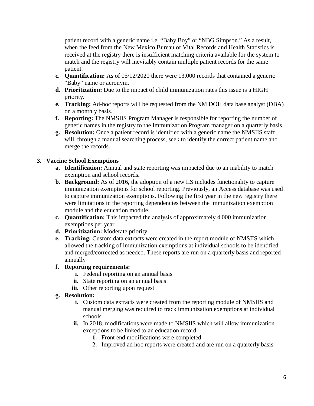patient record with a generic name i.e. "Baby Boy" or "NBG Simpson." As a result, when the feed from the New Mexico Bureau of Vital Records and Health Statistics is received at the registry there is insufficient matching criteria available for the system to match and the registry will inevitably contain multiple patient records for the same patient.

- **c. Quantification:** As of 05/12/2020 there were 13,000 records that contained a generic "Baby" name or acronym.
- **d. Prioritization:** Due to the impact of child immunization rates this issue is a HIGH priority.
- **e. Tracking:** Ad-hoc reports will be requested from the NM DOH data base analyst (DBA) on a monthly basis.
- **f. Reporting:** The NMSIIS Program Manager is responsible for reporting the number of generic names in the registry to the Immunization Program manager on a quarterly basis.
- **g. Resolution:** Once a patient record is identified with a generic name the NMSIIS staff will, through a manual searching process, seek to identify the correct patient name and merge the records.

# **3. Vaccine School Exemptions**

- **a. Identification:** Annual and state reporting was impacted due to an inability to match exemption and school records**.**
- **b. Background:** As of 2016, the adoption of a new IIS includes functionality to capture immunization exemptions for school reporting. Previously, an Access database was used to capture immunization exemptions. Following the first year in the new registry there were limitations in the reporting dependencies between the immunization exemption module and the education module.
- **c. Quantification:** This impacted the analysis of approximately 4,000 immunization exemptions per year.
- **d. Prioritization:** Moderate priority
- **e. Tracking:** Custom data extracts were created in the report module of NMSIIS which allowed the tracking of immunization exemptions at individual schools to be identified and merged/corrected as needed. These reports are run on a quarterly basis and reported annually

# **f. Reporting requirements:**

- **i.** Federal reporting on an annual basis
- **ii.** State reporting on an annual basis
- **iii.** Other reporting upon request

# **g. Resolution:**

- **i.** Custom data extracts were created from the reporting module of NMSIIS and manual merging was required to track immunization exemptions at individual schools.
- **ii.** In 2018, modifications were made to NMSIIS which will allow immunization exceptions to be linked to an education record.
	- **1.** Front end modifications were completed
	- **2.** Improved ad hoc reports were created and are run on a quarterly basis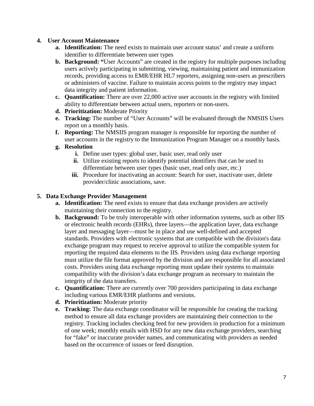## **4. User Account Maintenance**

- **a. Identification:** The need exists to maintain user account status' and create a uniform identifier to differentiate between user types
- **b. Background: "**User Accounts" are created in the registry for multiple purposes including users actively participating in submitting, viewing, maintaining patient and immunization records, providing access to EMR/EHR HL7 reporters, assigning non-users as prescribers or administers of vaccine. Failure to maintain access points to the registry may impact data integrity and patient information.
- **c. Quantification:** There are over 22,000 active user accounts in the registry with limited ability to differentiate between actual users, reporters or non-users.
- **d. Prioritization:** Moderate Priority
- **e. Tracking:** The number of "User Accounts" will be evaluated through the NMSIIS Users report on a monthly basis.
- **f. Reporting:** The NMSIIS program manager is responsible for reporting the number of user accounts in the registry to the Immunization Program Manager on a monthly basis.
- **g. Resolution**
	- **i.** Define user types: global user, basic user, read only user
	- **ii.** Utilize existing reports to identify potential identifiers that can be used to differentiate between user types (basic user, read only user, etc.)
	- **iii.** Procedure for inactivating an account: Search for user, inactivate user, delete provider/clinic associations, save.

## **5. Data Exchange Provider Management**

- **a. Identification:** The need exists to ensure that data exchange providers are actively maintaining their connection to the registry.
- **b. Background:** To be truly interoperable with other information systems, such as other IIS or electronic health records (EHRs), three layers—the application layer, data exchange layer and messaging layer—must be in place and use well-defined and accepted standards. Providers with electronic systems that are compatible with the division's data exchange program may request to receive approval to utilize the compatible system for reporting the required data elements to the IIS. Providers using data exchange reporting must utilize the file format approved by the division and are responsible for all associated costs. Providers using data exchange reporting must update their systems to maintain compatibility with the division's data exchange program as necessary to maintain the integrity of the data transfers.
- **c. Quantification:** There are currently over 700 providers participating in data exchange including various EMR/EHR platforms and versions.
- **d. Prioritization:** Moderate priority
- **e. Tracking:** The data exchange coordinator will be responsible for creating the tracking method to ensure all data exchange providers are maintaining their connection to the registry. Tracking includes checking feed for new providers in production for a minimum of one week; monthly emails with HSD for any new data exchange providers, searching for "fake" or inaccurate provider names, and communicating with providers as needed based on the occurrence of issues or feed disruption.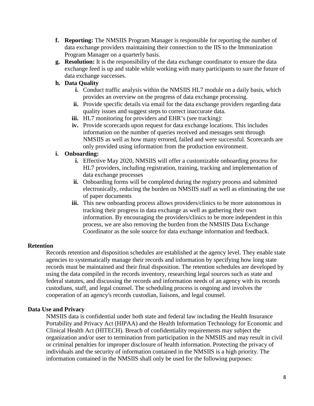- **f. Reporting:** The NMSIIS Program Manager is responsible for reporting the number of data exchange providers maintaining their connection to the IIS to the Immunization Program Manager on a quarterly basis.
- **g. Resolution:** It is the responsibility of the data exchange coordinator to ensure the data exchange feed is up and stable while working with many participants to sure the future of data exchange successes.

# **h. Data Quality**

- **i.** Conduct traffic analysis within the NMSIIS HL7 module on a daily basis, which provides an overview on the progress of data exchange processing.
- **ii.** Provide specific details via email for the data exchange providers regarding data quality issues and suggest steps to correct inaccurate data.
- **iii.** HL7 monitoring for providers and EHR's (see tracking):
- **iv.** Provide scorecards upon request for data exchange locations. This includes information on the number of queries received and messages sent through NMSIIS as well as how many errored, failed and were successful. Scorecards are only provided using information from the production environment.

## **i. Onboarding:**

- **i.** Effective May 2020, NMSIIS will offer a customizable onboarding process for HL7 providers, including registration, training, tracking and implementation of data exchange processes
- **ii.** Onboarding forms will be completed during the registry process and submitted electronically, reducing the burden on NMSIIS staff as well as eliminating the use of paper documents
- **iii.** This new onboarding process allows providers/clinics to be more autonomous in tracking their progress in data exchange as well as gathering their own information. By encouraging the providers/clinics to be more independent in this process, we are also removing the burden from the NMSIIS Data Exchange Coordinator as the sole source for data exchange information and feedback.

## **Retention**

Records retention and disposition schedules are established at the agency level. They enable state agencies to systematically manage their records and information by specifying how long state records must be maintained and their final disposition. The retention schedules are developed by using the data compiled in the records inventory, researching legal sources such as state and federal statutes, and discussing the records and information needs of an agency with its records custodians, staff, and legal counsel. The scheduling process is ongoing and involves the cooperation of an agency's records custodian, liaisons, and legal counsel.

## **Data Use and Privacy**

NMSIIS data is confidential under both state and federal law including the Health Insurance Portability and Privacy Act (HIPAA) and the Health Information Technology for Economic and Clinical Health Act (HITECH). Breach of confidentiality requirements may subject the organization and/or user to termination from participation in the NMSIIS and may result in civil or criminal penalties for improper disclosure of health information. Protecting the privacy of individuals and the security of information contained in the NMSIIS is a high priority. The information contained in the NMSIIS shall only be used for the following purposes: